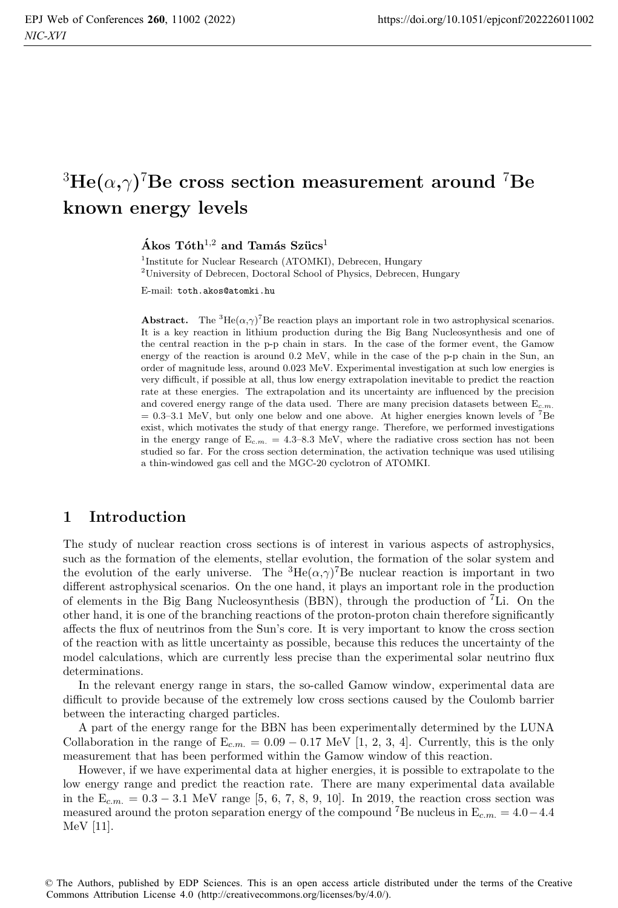# ${}^{3}He(\alpha, \gamma)$ <sup>7</sup>Be cross section measurement around <sup>7</sup>Be **known energy levels**

 $\hat{A}$  **kos**  $T$ óth<sup>1,2</sup> and  $T$ amás Szücs<sup>1</sup>

<sup>1</sup>Institute for Nuclear Research (ATOMKI), Debrecen, Hungary <sup>2</sup>University of Debrecen, Doctoral School of Physics, Debrecen, Hungary

E-mail: toth.akos@atomki.hu

**Abstract.** The <sup>3</sup>He( $\alpha$ , $\gamma$ )<sup>7</sup>Be reaction plays an important role in two astrophysical scenarios. It is a key reaction in lithium production during the Big Bang Nucleosynthesis and one of the central reaction in the p-p chain in stars. In the case of the former event, the Gamow energy of the reaction is around 0.2 MeV, while in the case of the p-p chain in the Sun, an order of magnitude less, around 0.023 MeV. Experimental investigation at such low energies is very difficult, if possible at all, thus low energy extrapolation inevitable to predict the reaction rate at these energies. The extrapolation and its uncertainty are influenced by the precision and covered energy range of the data used. There are many precision datasets between  $E_{c.m.}$  $= 0.3-3.1$  MeV, but only one below and one above. At higher energies known levels of <sup>7</sup>Be exist, which motivates the study of that energy range. Therefore, we performed investigations in the energy range of  $E_{c.m.} = 4.3$ –8.3 MeV, where the radiative cross section has not been studied so far. For the cross section determination, the activation technique was used utilising a thin-windowed gas cell and the MGC-20 cyclotron of ATOMKI.

## **1 Introduction**

The study of nuclear reaction cross sections is of interest in various aspects of astrophysics, such as the formation of the elements, stellar evolution, the formation of the solar system and the evolution of the early universe. The  ${}^{3}He(\alpha,\gamma){}^{7}Be$  nuclear reaction is important in two different astrophysical scenarios. On the one hand, it plays an important role in the production of elements in the Big Bang Nucleosynthesis (BBN), through the production of <sup>7</sup>Li. On the other hand, it is one of the branching reactions of the proton-proton chain therefore significantly affects the flux of neutrinos from the Sun's core. It is very important to know the cross section of the reaction with as little uncertainty as possible, because this reduces the uncertainty of the model calculations, which are currently less precise than the experimental solar neutrino flux determinations.

In the relevant energy range in stars, the so-called Gamow window, experimental data are difficult to provide because of the extremely low cross sections caused by the Coulomb barrier between the interacting charged particles.

A part of the energy range for the BBN has been experimentally determined by the LUNA Collaboration in the range of  $E_{c.m.} = 0.09 - 0.17$  MeV [1, 2, 3, 4]. Currently, this is the only measurement that has been performed within the Gamow window of this reaction.

However, if we have experimental data at higher energies, it is possible to extrapolate to the low energy range and predict the reaction rate. There are many experimental data available in the  $E_{c.m.} = 0.3 - 3.1$  MeV range [5, 6, 7, 8, 9, 10]. In 2019, the reaction cross section was measured around the proton separation energy of the compound <sup>7</sup>Be nucleus in  $E_{cm} = 4.0 - 4.4$ MeV [11].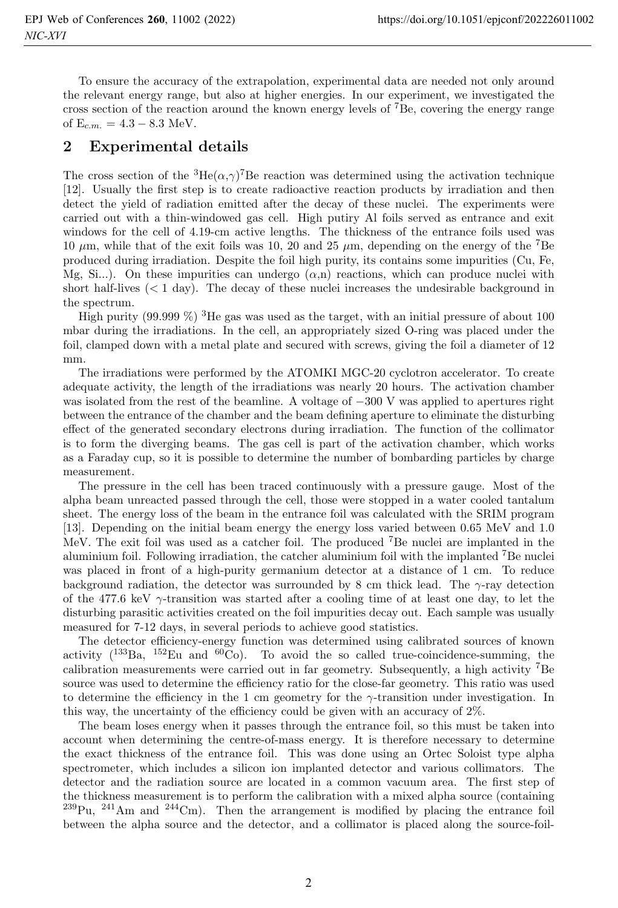To ensure the accuracy of the extrapolation, experimental data are needed not only around the relevant energy range, but also at higher energies. In our experiment, we investigated the cross section of the reaction around the known energy levels of <sup>7</sup>Be, covering the energy range of  $E_{c.m.} = 4.3 - 8.3$  MeV.

## **2 Experimental details**

The cross section of the  ${}^{3}He(\alpha,\gamma){}^{7}Be$  reaction was determined using the activation technique [12]. Usually the first step is to create radioactive reaction products by irradiation and then detect the yield of radiation emitted after the decay of these nuclei. The experiments were carried out with a thin-windowed gas cell. High putiry Al foils served as entrance and exit windows for the cell of 4.19-cm active lengths. The thickness of the entrance foils used was 10  $\mu$ m, while that of the exit foils was 10, 20 and 25  $\mu$ m, depending on the energy of the <sup>7</sup>Be produced during irradiation. Despite the foil high purity, its contains some impurities (Cu, Fe, Mg, Si...). On these impurities can undergo  $(\alpha, n)$  reactions, which can produce nuclei with short half-lives (< 1 day). The decay of these nuclei increases the undesirable background in the spectrum.

High purity (99.999  $\%$ ) <sup>3</sup>He gas was used as the target, with an initial pressure of about 100 mbar during the irradiations. In the cell, an appropriately sized O-ring was placed under the foil, clamped down with a metal plate and secured with screws, giving the foil a diameter of 12 mm.

The irradiations were performed by the ATOMKI MGC-20 cyclotron accelerator. To create adequate activity, the length of the irradiations was nearly 20 hours. The activation chamber was isolated from the rest of the beamline. A voltage of −300 V was applied to apertures right between the entrance of the chamber and the beam defining aperture to eliminate the disturbing effect of the generated secondary electrons during irradiation. The function of the collimator is to form the diverging beams. The gas cell is part of the activation chamber, which works as a Faraday cup, so it is possible to determine the number of bombarding particles by charge measurement.

The pressure in the cell has been traced continuously with a pressure gauge. Most of the alpha beam unreacted passed through the cell, those were stopped in a water cooled tantalum sheet. The energy loss of the beam in the entrance foil was calculated with the SRIM program [13]. Depending on the initial beam energy the energy loss varied between 0.65 MeV and 1.0 MeV. The exit foil was used as a catcher foil. The produced <sup>7</sup>Be nuclei are implanted in the aluminium foil. Following irradiation, the catcher aluminium foil with the implanted <sup>7</sup>Be nuclei was placed in front of a high-purity germanium detector at a distance of 1 cm. To reduce background radiation, the detector was surrounded by 8 cm thick lead. The  $\gamma$ -ray detection of the 477.6 keV  $\gamma$ -transition was started after a cooling time of at least one day, to let the disturbing parasitic activities created on the foil impurities decay out. Each sample was usually measured for 7-12 days, in several periods to achieve good statistics.

The detector efficiency-energy function was determined using calibrated sources of known activity  $(^{133}Ba$ ,  $^{152}Eu$  and  $^{60}Co$ ). To avoid the so called true-coincidence-summing, the calibration measurements were carried out in far geometry. Subsequently, a high activity <sup>7</sup>Be source was used to determine the efficiency ratio for the close-far geometry. This ratio was used to determine the efficiency in the 1 cm geometry for the γ-transition under investigation. In this way, the uncertainty of the efficiency could be given with an accuracy of 2%.

The beam loses energy when it passes through the entrance foil, so this must be taken into account when determining the centre-of-mass energy. It is therefore necessary to determine the exact thickness of the entrance foil. This was done using an Ortec Soloist type alpha spectrometer, which includes a silicon ion implanted detector and various collimators. The detector and the radiation source are located in a common vacuum area. The first step of the thickness measurement is to perform the calibration with a mixed alpha source (containing  $239$ Pu,  $241$ Am and  $244$ Cm). Then the arrangement is modified by placing the entrance foil between the alpha source and the detector, and a collimator is placed along the source-foil-